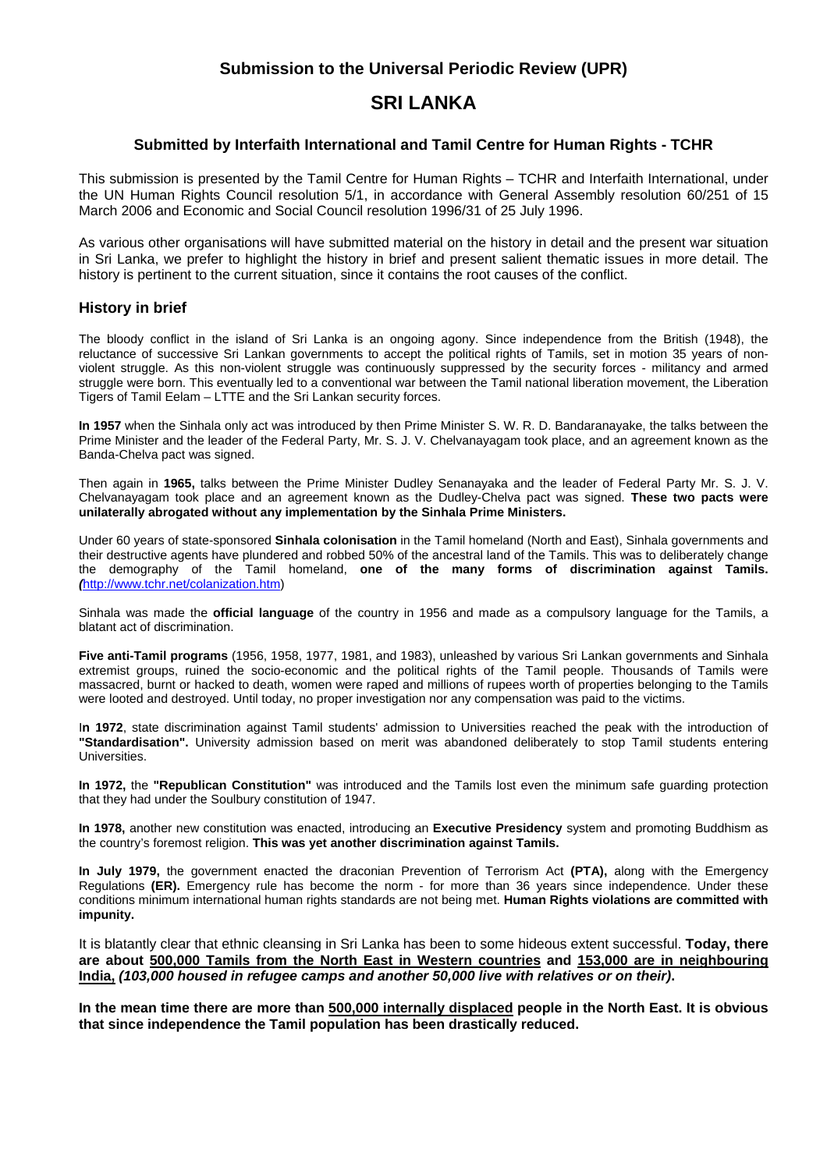# **Submission to the Universal Periodic Review (UPR)**

# **SRI LANKA**

#### **Submitted by Interfaith International and Tamil Centre for Human Rights - TCHR**

This submission is presented by the Tamil Centre for Human Rights – TCHR and Interfaith International, under the UN Human Rights Council resolution 5/1, in accordance with General Assembly resolution 60/251 of 15 March 2006 and Economic and Social Council resolution 1996/31 of 25 July 1996.

As various other organisations will have submitted material on the history in detail and the present war situation in Sri Lanka, we prefer to highlight the history in brief and present salient thematic issues in more detail. The history is pertinent to the current situation, since it contains the root causes of the conflict.

#### **History in brief**

The bloody conflict in the island of Sri Lanka is an ongoing agony. Since independence from the British (1948), the reluctance of successive Sri Lankan governments to accept the political rights of Tamils, set in motion 35 years of nonviolent struggle. As this non-violent struggle was continuously suppressed by the security forces - militancy and armed struggle were born. This eventually led to a conventional war between the Tamil national liberation movement, the Liberation Tigers of Tamil Eelam – LTTE and the Sri Lankan security forces.

**In 1957** when the Sinhala only act was introduced by then Prime Minister S. W. R. D. Bandaranayake, the talks between the Prime Minister and the leader of the Federal Party, Mr. S. J. V. Chelvanayagam took place, and an agreement known as the Banda-Chelva pact was signed.

Then again in **1965,** talks between the Prime Minister Dudley Senanayaka and the leader of Federal Party Mr. S. J. V. Chelvanayagam took place and an agreement known as the Dudley-Chelva pact was signed. **These two pacts were unilaterally abrogated without any implementation by the Sinhala Prime Ministers.** 

Under 60 years of state-sponsored **Sinhala colonisation** in the Tamil homeland (North and East), Sinhala governments and their destructive agents have plundered and robbed 50% of the ancestral land of the Tamils. This was to deliberately change the demography of the Tamil homeland, **one of the many forms of discrimination against Tamils.** *(*http://www.tchr.net/colanization.htm)

Sinhala was made the **official language** of the country in 1956 and made as a compulsory language for the Tamils, a blatant act of discrimination.

**Five anti-Tamil programs** (1956, 1958, 1977, 1981, and 1983), unleashed by various Sri Lankan governments and Sinhala extremist groups, ruined the socio-economic and the political rights of the Tamil people. Thousands of Tamils were massacred, burnt or hacked to death, women were raped and millions of rupees worth of properties belonging to the Tamils were looted and destroyed. Until today, no proper investigation nor any compensation was paid to the victims.

I**n 1972**, state discrimination against Tamil students' admission to Universities reached the peak with the introduction of **"Standardisation".** University admission based on merit was abandoned deliberately to stop Tamil students entering Universities.

**In 1972,** the **"Republican Constitution"** was introduced and the Tamils lost even the minimum safe guarding protection that they had under the Soulbury constitution of 1947.

**In 1978,** another new constitution was enacted, introducing an **Executive Presidency** system and promoting Buddhism as the country's foremost religion. **This was yet another discrimination against Tamils.** 

**In July 1979,** the government enacted the draconian Prevention of Terrorism Act **(PTA),** along with the Emergency Regulations **(ER).** Emergency rule has become the norm - for more than 36 years since independence. Under these conditions minimum international human rights standards are not being met. **Human Rights violations are committed with impunity.** 

It is blatantly clear that ethnic cleansing in Sri Lanka has been to some hideous extent successful. **Today, there are about 500,000 Tamils from the North East in Western countries and 153,000 are in neighbouring India,** *(103,000 housed in refugee camps and another 50,000 live with relatives or on their)***.** 

**In the mean time there are more than 500,000 internally displaced people in the North East. It is obvious that since independence the Tamil population has been drastically reduced.**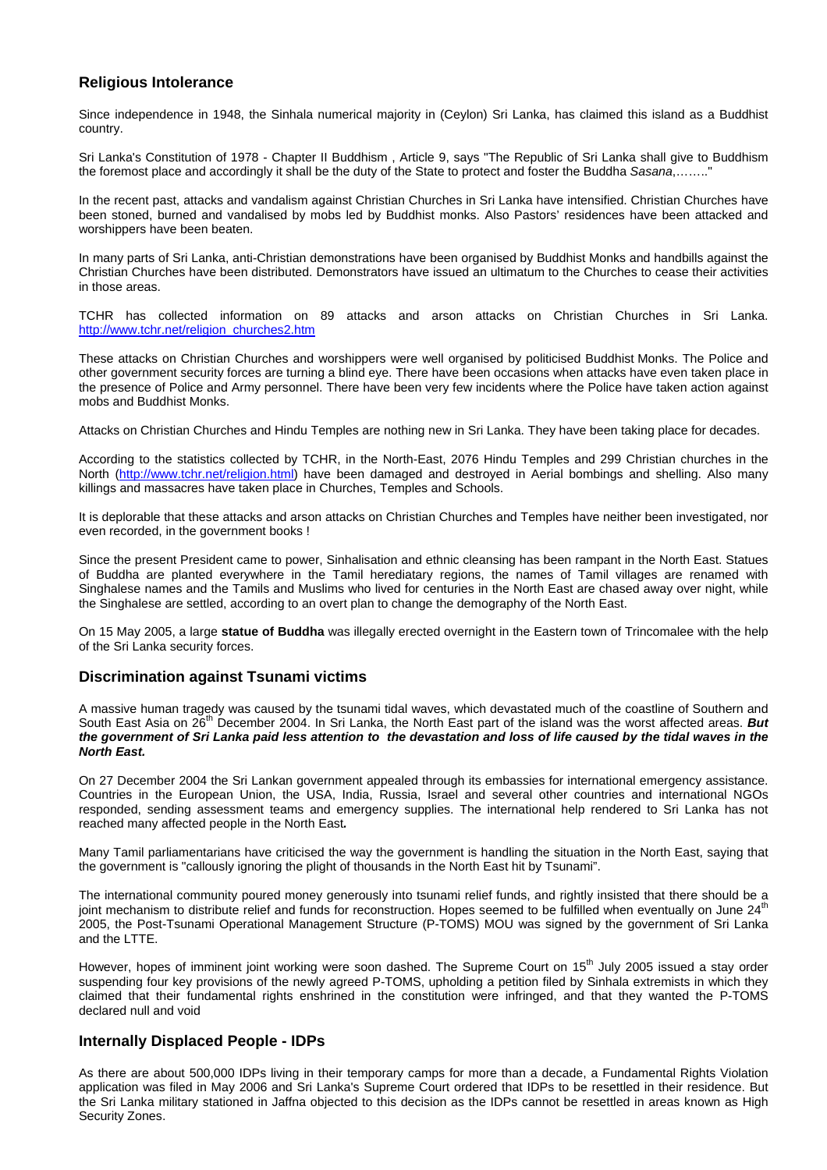#### **Religious Intolerance**

Since independence in 1948, the Sinhala numerical majority in (Ceylon) Sri Lanka, has claimed this island as a Buddhist country.

Sri Lanka's Constitution of 1978 - Chapter II Buddhism , Article 9, says "The Republic of Sri Lanka shall give to Buddhism the foremost place and accordingly it shall be the duty of the State to protect and foster the Buddha *Sasana*,…….."

In the recent past, attacks and vandalism against Christian Churches in Sri Lanka have intensified. Christian Churches have been stoned, burned and vandalised by mobs led by Buddhist monks. Also Pastors' residences have been attacked and worshippers have been beaten.

In many parts of Sri Lanka, anti-Christian demonstrations have been organised by Buddhist Monks and handbills against the Christian Churches have been distributed. Demonstrators have issued an ultimatum to the Churches to cease their activities in those areas.

TCHR has collected information on 89 attacks and arson attacks on Christian Churches in Sri Lanka. http://www.tchr.net/religion\_churches2.htm

These attacks on Christian Churches and worshippers were well organised by politicised Buddhist Monks. The Police and other government security forces are turning a blind eye. There have been occasions when attacks have even taken place in the presence of Police and Army personnel. There have been very few incidents where the Police have taken action against mobs and Buddhist Monks.

Attacks on Christian Churches and Hindu Temples are nothing new in Sri Lanka. They have been taking place for decades.

According to the statistics collected by TCHR, in the North-East, 2076 Hindu Temples and 299 Christian churches in the North (http://www.tchr.net/religion.html) have been damaged and destroyed in Aerial bombings and shelling. Also many killings and massacres have taken place in Churches, Temples and Schools.

It is deplorable that these attacks and arson attacks on Christian Churches and Temples have neither been investigated, nor even recorded, in the government books !

Since the present President came to power, Sinhalisation and ethnic cleansing has been rampant in the North East. Statues of Buddha are planted everywhere in the Tamil herediatary regions, the names of Tamil villages are renamed with Singhalese names and the Tamils and Muslims who lived for centuries in the North East are chased away over night, while the Singhalese are settled, according to an overt plan to change the demography of the North East.

On 15 May 2005, a large **statue of Buddha** was illegally erected overnight in the Eastern town of Trincomalee with the help of the Sri Lanka security forces.

#### **Discrimination against Tsunami victims**

A massive human tragedy was caused by the tsunami tidal waves, which devastated much of the coastline of Southern and South East Asia on 26<sup>th</sup> December 2004. In Sri Lanka, the North East part of the island was the worst affected areas. But *the government of Sri Lanka paid less attention to the devastation and loss of life caused by the tidal waves in the North East.* 

On 27 December 2004 the Sri Lankan government appealed through its embassies for international emergency assistance. Countries in the European Union, the USA, India, Russia, Israel and several other countries and international NGOs responded, sending assessment teams and emergency supplies. The international help rendered to Sri Lanka has not reached many affected people in the North East*.*

Many Tamil parliamentarians have criticised the way the government is handling the situation in the North East, saying that the government is "callously ignoring the plight of thousands in the North East hit by Tsunami".

The international community poured money generously into tsunami relief funds, and rightly insisted that there should be a joint mechanism to distribute relief and funds for reconstruction. Hopes seemed to be fulfilled when eventually on June 24<sup>th</sup> 2005, the Post-Tsunami Operational Management Structure (P-TOMS) MOU was signed by the government of Sri Lanka and the LTTE.

However, hopes of imminent joint working were soon dashed. The Supreme Court on 15<sup>th</sup> July 2005 issued a stay order suspending four key provisions of the newly agreed P-TOMS, upholding a petition filed by Sinhala extremists in which they claimed that their fundamental rights enshrined in the constitution were infringed, and that they wanted the P-TOMS declared null and void

#### **Internally Displaced People - IDPs**

As there are about 500,000 IDPs living in their temporary camps for more than a decade, a Fundamental Rights Violation application was filed in May 2006 and Sri Lanka's Supreme Court ordered that IDPs to be resettled in their residence. But the Sri Lanka military stationed in Jaffna objected to this decision as the IDPs cannot be resettled in areas known as High Security Zones.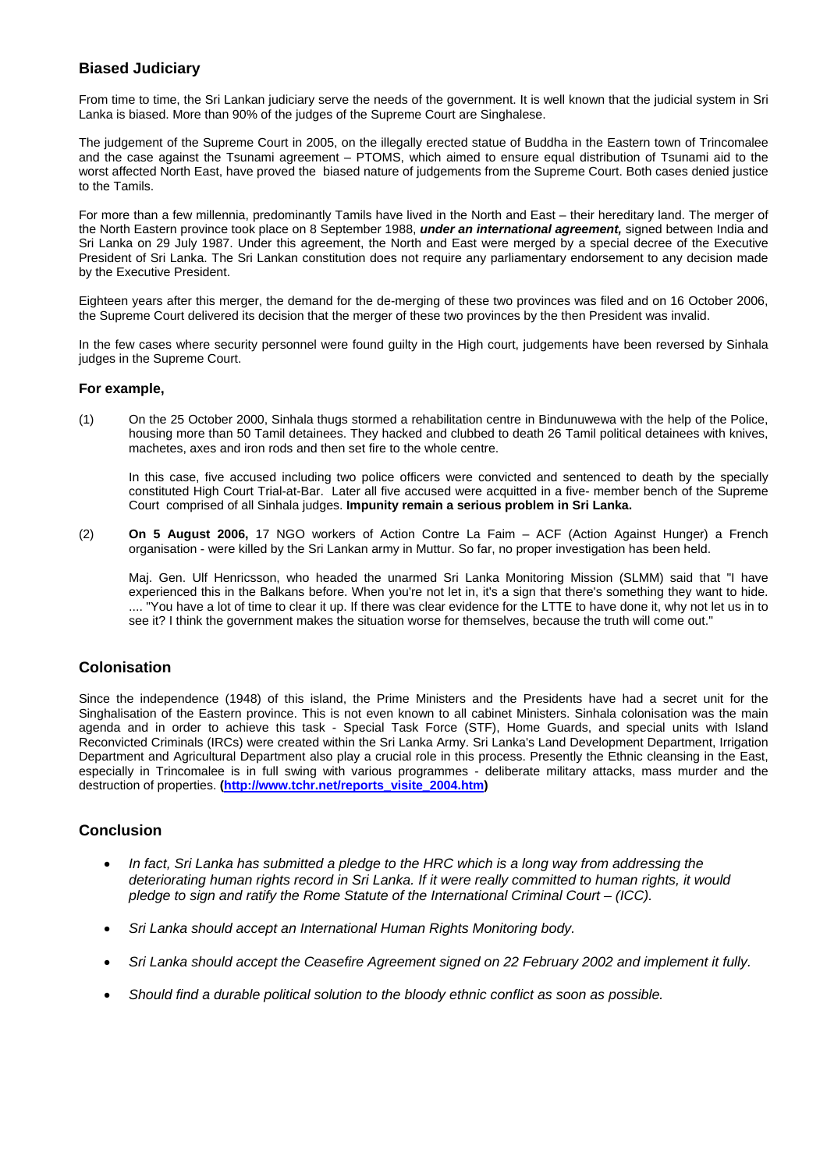#### **Biased Judiciary**

From time to time, the Sri Lankan judiciary serve the needs of the government. It is well known that the judicial system in Sri Lanka is biased. More than 90% of the judges of the Supreme Court are Singhalese.

The judgement of the Supreme Court in 2005, on the illegally erected statue of Buddha in the Eastern town of Trincomalee and the case against the Tsunami agreement – PTOMS, which aimed to ensure equal distribution of Tsunami aid to the worst affected North East, have proved the biased nature of judgements from the Supreme Court. Both cases denied justice to the Tamils.

For more than a few millennia, predominantly Tamils have lived in the North and East – their hereditary land. The merger of the North Eastern province took place on 8 September 1988, *under an international agreement,* signed between India and Sri Lanka on 29 July 1987. Under this agreement, the North and East were merged by a special decree of the Executive President of Sri Lanka. The Sri Lankan constitution does not require any parliamentary endorsement to any decision made by the Executive President.

Eighteen years after this merger, the demand for the de-merging of these two provinces was filed and on 16 October 2006, the Supreme Court delivered its decision that the merger of these two provinces by the then President was invalid.

In the few cases where security personnel were found guilty in the High court, judgements have been reversed by Sinhala judges in the Supreme Court.

#### **For example,**

(1) On the 25 October 2000, Sinhala thugs stormed a rehabilitation centre in Bindunuwewa with the help of the Police, housing more than 50 Tamil detainees. They hacked and clubbed to death 26 Tamil political detainees with knives, machetes, axes and iron rods and then set fire to the whole centre.

In this case, five accused including two police officers were convicted and sentenced to death by the specially constituted High Court Trial-at-Bar. Later all five accused were acquitted in a five- member bench of the Supreme Court comprised of all Sinhala judges. **Impunity remain a serious problem in Sri Lanka.** 

(2) **On 5 August 2006,** 17 NGO workers of Action Contre La Faim – ACF (Action Against Hunger) a French organisation - were killed by the Sri Lankan army in Muttur. So far, no proper investigation has been held.

Maj. Gen. Ulf Henricsson, who headed the unarmed Sri Lanka Monitoring Mission (SLMM) said that "I have experienced this in the Balkans before. When you're not let in, it's a sign that there's something they want to hide. .... "You have a lot of time to clear it up. If there was clear evidence for the LTTE to have done it, why not let us in to see it? I think the government makes the situation worse for themselves, because the truth will come out."

### **Colonisation**

Since the independence (1948) of this island, the Prime Ministers and the Presidents have had a secret unit for the Singhalisation of the Eastern province. This is not even known to all cabinet Ministers. Sinhala colonisation was the main agenda and in order to achieve this task - Special Task Force (STF), Home Guards, and special units with Island Reconvicted Criminals (IRCs) were created within the Sri Lanka Army. Sri Lanka's Land Development Department, Irrigation Department and Agricultural Department also play a crucial role in this process. Presently the Ethnic cleansing in the East, especially in Trincomalee is in full swing with various programmes - deliberate military attacks, mass murder and the destruction of properties. **(http://www.tchr.net/reports\_visite\_2004.htm)** 

### **Conclusion**

- *In fact, Sri Lanka has submitted a pledge to the HRC which is a long way from addressing the deteriorating human rights record in Sri Lanka. If it were really committed to human rights, it would pledge to sign and ratify the Rome Statute of the International Criminal Court – (ICC).*
- *Sri Lanka should accept an International Human Rights Monitoring body.*
- *Sri Lanka should accept the Ceasefire Agreement signed on 22 February 2002 and implement it fully.*
- *Should find a durable political solution to the bloody ethnic conflict as soon as possible.*